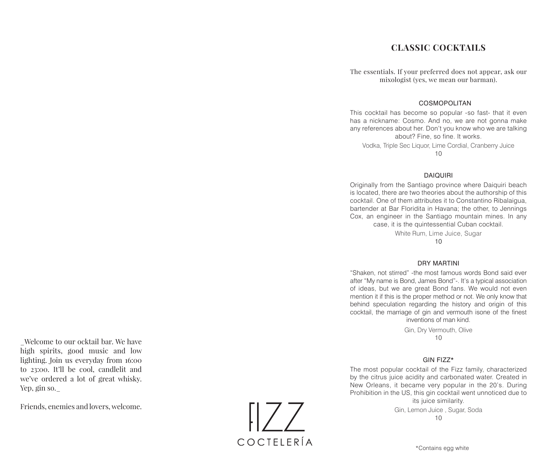# **CLASSIC COCKTAILS**

The essentials. If your preferred does not appear, ask our mixologist (yes, we mean our barman).

### COSMOPOLITAN

This cocktail has become so popular -so fast- that it even has a nickname: Cosmo. And no, we are not gonna make any references about her. Don't you know who we are talking about? Fine, so fine. It works. Vodka, Triple Sec Liquor, Lime Cordial, Cranberry Juice

10

### DAIQUIRI

Originally from the Santiago province where Daiquiri beach is located, there are two theories about the authorship of this cocktail. One of them attributes it to Constantino Ribalaigua, bartender at Bar Floridita in Havana; the other, to Jennings Cox, an engineer in the Santiago mountain mines. In any case, it is the quintessential Cuban cocktail.

White Rum, Lime Juice, Sugar

10

### DRY MARTINI

"Shaken, not stirred" -the most famous words Bond said ever after "My name is Bond, James Bond"-. It's a typical association of ideas, but we are great Bond fans. We would not even mention it if this is the proper method or not. We only know that behind speculation regarding the history and origin of this cocktail, the marriage of gin and vermouth isone of the finest

inventions of man kind. Gin, Dry Vermouth, Olive

10

### GIN FIZZ\*

The most popular cocktail of the Fizz family, characterized by the citrus juice acidity and carbonated water. Created in New Orleans, it became very popular in the 20's. During Prohibition in the US, this gin cocktail went unnoticed due to

its juice similarity. Gin, Lemon Juice , Sugar, Soda 10

\_Welcome to our ocktail bar. We have high spirits, good music and low lighting. Join us everyday from 16:00 to 23:00. It'll be cool, candlelit and we've ordered a lot of great whisky. Yep, gin so.\_

Friends, enemies and lovers, welcome.

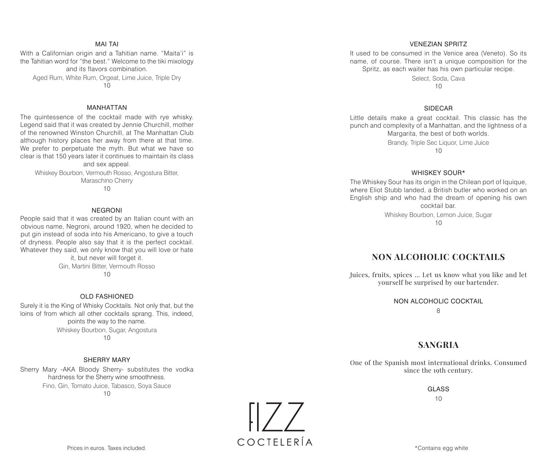### MAI TAI

With a Californian origin and a Tahitian name. "Maita'i" is the Tahitian word for "the best." Welcome to the tiki mixology and its flavors combination. Aged Rum, White Rum, Orgeat, Lime Juice, Triple Dry

10

### MANHATTAN

The quintessence of the cocktail made with rye whisky. Legend said that it was created by Jennie Churchill, mother of the renowned Winston Churchill, at The Manhattan Club although history places her away from there at that time. We prefer to perpetuate the myth. But what we have so clear is that 150 years later it continues to maintain its class and sex appeal.

Whiskey Bourbon, Vermouth Rosso, Angostura Bitter, Maraschino Cherry 10

### NEGRONI

People said that it was created by an Italian count with an obvious name, Negroni, around 1920, when he decided to put gin instead of soda into his Americano, to give a touch of dryness. People also say that it is the perfect cocktail. Whatever they said, we only know that you will love or hate

it, but never will forget it. Gin, Martini Bitter, Vermouth Rosso  $1<sub>0</sub>$ 

### OLD FASHIONED

Surely it is the King of Whisky Cocktails. Not only that, but the loins of from which all other cocktails sprang. This, indeed, points the way to the name. Whiskey Bourbon, Sugar, Angostura 10

### SHERRY MARY

Sherry Mary -AKA Bloody Sherry- substitutes the vodka hardness for the Sherry wine smoothness. Fino, Gin, Tomato Juice, Tabasco, Soya Sauce 10

> $||/$ COCTFIFRÍA

### VENEZIAN SPRITZ

It used to be consumed in the Venice area (Veneto). So its name, of course. There isn't a unique composition for the Spritz, as each waiter has his own particular recipe.

> Select, Soda, Cava  $1<sub>0</sub>$

### SIDECAR

Little details make a great cocktail. This classic has the punch and complexity of a Manhattan, and the lightness of a Margarita, the best of both worlds.

> Brandy, Triple Sec Liquor, Lime Juice  $10$

### WHISKEY SOUR\*

The Whiskey Sour has its origin in the Chilean port of Iquique, where Eliot Stubb landed, a British butler who worked on an English ship and who had the dream of opening his own cocktail bar.

> Whiskey Bourbon, Lemon Juice, Sugar 10

## **NON ALCOHOLIC COCKTAILS**

Juices, fruits, spices ... Let us know what you like and let yourself be surprised by our bartender.

### NON ALCOHOLIC COCKTAIL

8

# **SANGRIA**

One of the Spanish most international drinks. Consumed since the 19th century.

> GLASS 10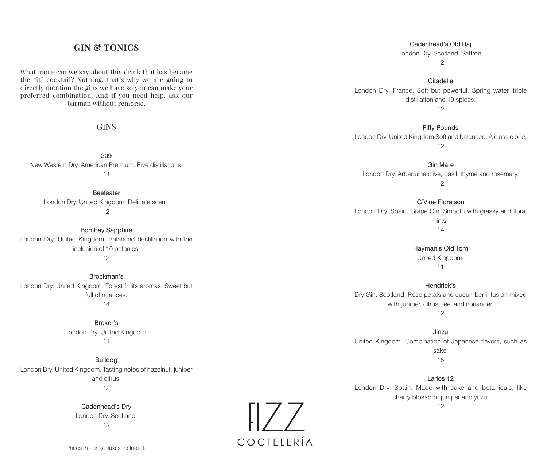# **GIN & TONICS**

What more can we say about this drink that has became the "it" cocktail? Nothing, that's why we are going to directly mention the gins we have so you can make your preferred combination. And if you need help, ask our barman without remorse.

# **GINS**

209 New Western Dry. American Premium. Five distillations. 14

Beefeater London Dry. United Kingdom. Delicate scent. 12

Bombay Sapphire London Dry. United Kingdom. Balanced destillation with the inclusion of 10 botanics. 12

Brockman's London Dry. United Kingdom. Forest fruits aromas. Sweet but full of nuances. 14

> Broker's London Dry. United Kingdom. 11

Bulldog London Dry. United Kingdom. Tasting notes of hazelnut, juniper and citrus. 12

> Cadenhead's Dry London Dry. Scotland. 12

Cadenhead's Old Raj London Dry. Scotland. Saffron. 12

Citadelle London Dry. France. Soft but powerful. Spring water, triple distillation and 19 spices. 12

Fifty Pounds London Dry. United Kingdom Soft and balanced. A classic one. 12

Gin Mare London Dry. Arbequina olive, basil, thyme and rosemary. 12

G'Vine Floraison London Dry. Spain. Grape Gin. Smooth with grassy and floral hints. 14

> Hayman's Old Tom United Kingdom. 11

Hendrick's Dry Gin. Scotland. Rose petals and cucumber infusion mixed with juniper, citrus peel and coriander.

12

Jinzu United Kingdom. Combination of Japanese flavors, such as sake. 15

Larios 12 London Dry. Spain. Made with sake and botanicals, like cherry blossom, juniper and yuzu.

12

 $\sqrt{177}$ COCTFIFRÍA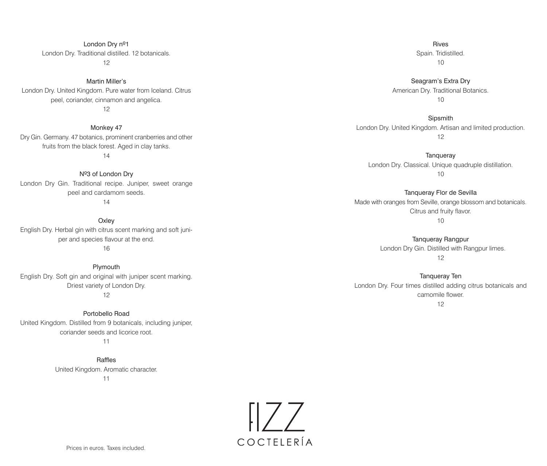London Dry nº1 London Dry. Traditional distilled. 12 botanicals. 12

Martin Miller's London Dry. United Kingdom. Pure water from Iceland. Citrus peel, coriander, cinnamon and angelica. 12

Monkey 47 Dry Gin. Germany. 47 botanics, prominent cranberries and other fruits from the black forest. Aged in clay tanks. 14

Nº3 of London Dry London Dry Gin. Traditional recipe. Juniper, sweet orange peel and cardamom seeds.

14

**Oxley** English Dry. Herbal gin with citrus scent marking and soft juniper and species flavour at the end. 16

Plymouth English Dry. Soft gin and original with juniper scent marking. Driest variety of London Dry. 12

Portobello Road United Kingdom. Distilled from 9 botanicals, including juniper, coriander seeds and licorice root.

11

Raffles United Kingdom. Aromatic character. 11

Rives Spain. Tridistilled. 10

Seagram's Extra Dry American Dry. Traditional Botanics.  $10$ 

**Sipsmith** London Dry. United Kingdom. Artisan and limited production. 12

**Tanqueray** London Dry. Classical. Unique quadruple distillation. 10

Tanqueray Flor de Sevilla Made with oranges from Seville, orange blossom and botanicals. Citrus and fruity flavor. 10

> Tanqueray Rangpur London Dry Gin. Distilled with Rangpur limes. 12

Tanqueray Ten London Dry. Four times distilled adding citrus botanicals and camomile flower.

12

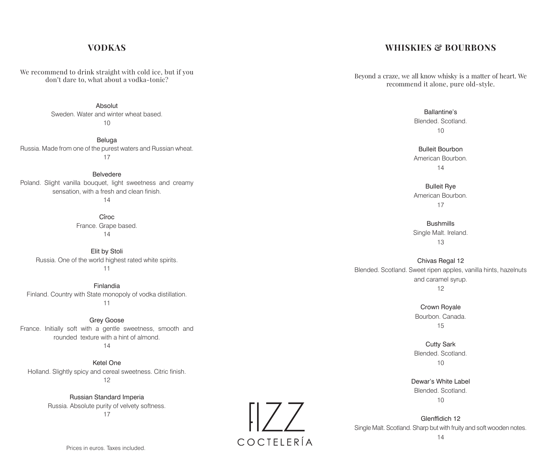# **VODKAS**

We recommend to drink straight with cold ice, but if you don't dare to, what about a vodka-tonic?

Absolut

Sweden. Water and winter wheat based. 10

Beluga Russia. Made from one of the purest waters and Russian wheat. 17

Belvedere Poland. Slight vanilla bouquet, light sweetness and creamy sensation, with a fresh and clean finish.

14

Cîroc France. Grape based. 14

Elit by Stoli Russia. One of the world highest rated white spirits. 11

Finlandia Finland. Country with State monopoly of vodka distillation. 11

Grey Goose France. Initially soft with a gentle sweetness, smooth and rounded texture with a hint of almond. 14

Ketel One Holland. Slightly spicy and cereal sweetness. Citric finish. 12

> Russian Standard Imperia Russia. Absolute purity of velvety softness. 17

# $\left[\left|ZZ\right|\right]$ COCTFIFRÍA

# **WHISKIES & BOURBONS**

Beyond a craze, we all know whisky is a matter of heart. We recommend it alone, pure old-style.

> Ballantine's Blended. Scotland. 10

Bulleit Bourbon American Bourbon. 14

Bulleit Rye American Bourbon. 17

**Bushmills** Single Malt. Ireland. 13

Chivas Regal 12 Blended. Scotland. Sweet ripen apples, vanilla hints, hazelnuts and caramel syrup. 12

> Crown Royale Bourbon. Canada. 15

> Cutty Sark Blended. Scotland. 10

Dewar's White Label Blended. Scotland.  $10$ 

Glenffidich 12 Single Malt. Scotland. Sharp but with fruity and soft wooden notes.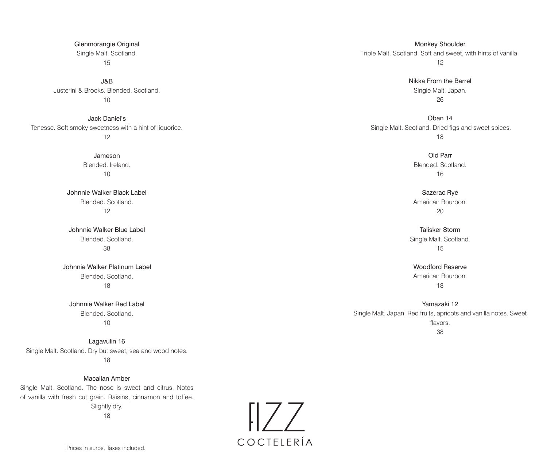J&B Justerini & Brooks. Blended. Scotland. 10

Jack Daniel's Tenesse. Soft smoky sweetness with a hint of liquorice. 12

> Jameson Blended. Ireland. 10

Johnnie Walker Black Label Blended. Scotland. 12

Johnnie Walker Blue Label Blended. Scotland. 38

Johnnie Walker Platinum Label Blended. Scotland. 18

Johnnie Walker Red Label Blended. Scotland. 10

Lagavulin 16 Single Malt. Scotland. Dry but sweet, sea and wood notes. 18

Macallan Amber Single Malt. Scotland. The nose is sweet and citrus. Notes of vanilla with fresh cut grain. Raisins, cinnamon and toffee. Slightly dry.

18

Monkey Shoulder Triple Malt. Scotland. Soft and sweet, with hints of vanilla. 12

> Nikka From the Barrel Single Malt. Japan. 26

Oban 14 Single Malt. Scotland. Dried figs and sweet spices. 18

> Old Parr Blended. Scotland. 16

Sazerac Rye American Bourbon. 20

Talisker Storm Single Malt. Scotland. 15

Woodford Reserve American Bourbon. 18

Yamazaki 12 Single Malt. Japan. Red fruits, apricots and vanilla notes. Sweet flavors. 38

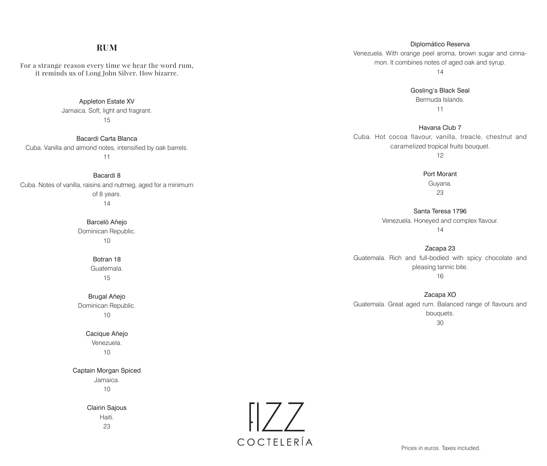# **RUM**

For a strange reason every time we hear the word rum, it reminds us of Long John Silver. How bizarre.

> Appleton Estate XV Jamaica. Soft, light and fragrant. 15

Bacardi Carta Blanca Cuba. Vanilla and almond notes, intensified by oak barrels. 11

Bacardi 8 Cuba. Notes of vanilla, raisins and nutmeg, aged for a minimum of 8 years. 14

> Barceló Añejo Dominican Republic. 10

> > Botran 18 Guatemala. 15

Brugal Añejo Dominican Republic. 10

> Cacique Añejo Venezuela. 10

Captain Morgan Spiced Jamaica.

10

Clairin Sajous Haiti. 23



Diplomático Reserva Venezuela. With orange peel aroma, brown sugar and cinnamon. It combines notes of aged oak and syrup.

14

Gosling's Black Seal Bermuda Islands. 11

Havana Club 7 Cuba. Hot cocoa flavour, vanilla, treacle, chestnut and caramelized tropical fruits bouquet.

12

Port Morant Guyana. 23

Santa Teresa 1796 Venezuela. Honeyed and complex flavour. 14

Zacapa 23 Guatemala. Rich and full-bodied with spicy chocolate and pleasing tannic bite. 16

Zacapa XO Guatemala. Great aged rum. Balanced range of flavours and bouquets. 30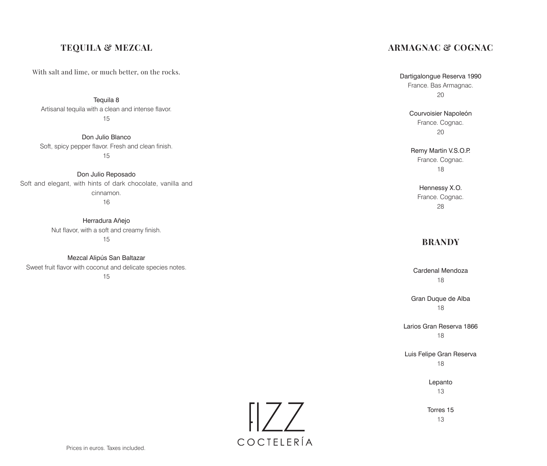# **TEQUILA & MEZCAL**

With salt and lime, or much better, on the rocks.

Tequila 8

Artisanal tequila with a clean and intense flavor. 15

Don Julio Blanco Soft, spicy pepper flavor. Fresh and clean finish. 15

Don Julio Reposado Soft and elegant, with hints of dark chocolate, vanilla and cinnamon. 16

> Herradura Añejo Nut flavor, with a soft and creamy finish. 15

Mezcal Alipús San Baltazar Sweet fruit flavor with coconut and delicate species notes.

15

# **ARMAGNAC & COGNAC**

Dartigalongue Reserva 1990 France. Bas Armagnac. 20

> Courvoisier Napoleón France. Cognac. 20

Remy Martin V.S.O.P. France. Cognac. 18

Hennessy X.O. France. Cognac. 28

# **BRANDY**

Cardenal Mendoza 18

Gran Duque de Alba 18

Larios Gran Reserva 1866 18

Luis Felipe Gran Reserva 18

> Lepanto 13

Torres 15 13

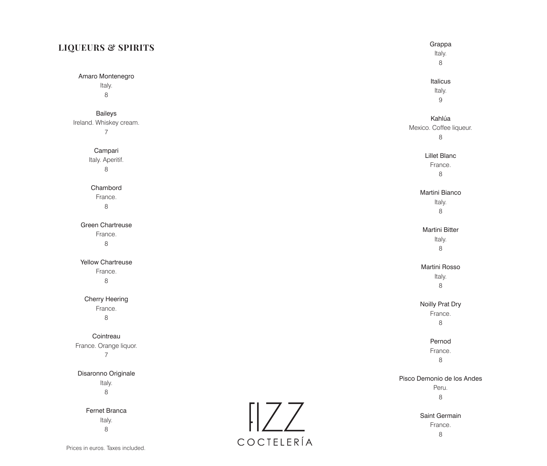| <b>LIQUEURS &amp; SPIRITS</b> |  |  |  |
|-------------------------------|--|--|--|
|-------------------------------|--|--|--|

Amaro Montenegro Italy. 8

Baileys Ireland. Whiskey cream. 7

> Campari Italy. Aperitif. 8

Chambord France. 8

Green Chartreuse France. 8

Yellow Chartreuse France. 8

Cherry Heering France. 8

Grappa Italy.<br>8

# Italicus

Italy. 9

# Kahlúa

Mexico. Coffee liqueur. 8

Lillet Blanc

France. 8

# Martini Bianco

Italy. 8

### Martini Bitter

Italy. 8

### Martini Rosso

Italy. 8

### Noilly Prat Dry

France. 8

Pernod France. 8

### Pisco Demonio de los Andes

Peru.<br>8

Saint Germain France. 8

**Cointreau** France. Orange liquor. 7 Disaronno Originale Italy. 8 Fernet Branca Italy. 8 Prices in euros. Taxes included.

 $\begin{bmatrix} 1 & 2 \\ 2 & 1 \end{bmatrix}$ COCTELERÍA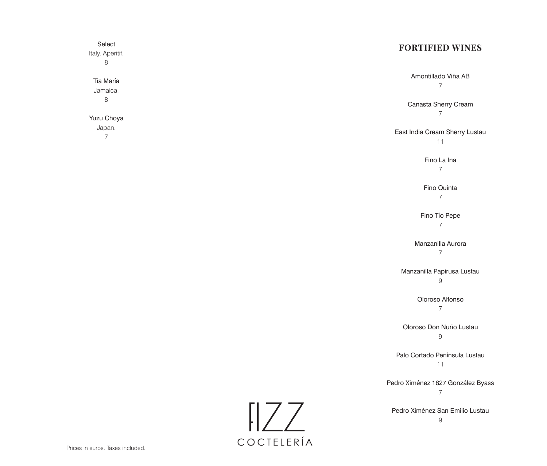# Select **FORTIFIED WINES** Italy. Aperitif. 8 Amontillado Viña AB Tia María 7 Jamaica. 8 Canasta Sherry Cream 7 Yuzu Choya Japan. East India Cream Sherry Lustau 7 11 Fino La Ina 7 Fino Quinta 7 Fino Tío Pepe 7 Manzanilla Aurora 7 Manzanilla Papirusa Lustau 9 Oloroso Alfonso 7 Oloroso Don Nuño Lustau 9 Palo Cortado Península Lustau 11 Pedro Ximénez 1827 González Byass 7  $\left[\left|7\right| \right]$ Pedro Ximénez San Emilio Lustau 9 COCTELERÍA